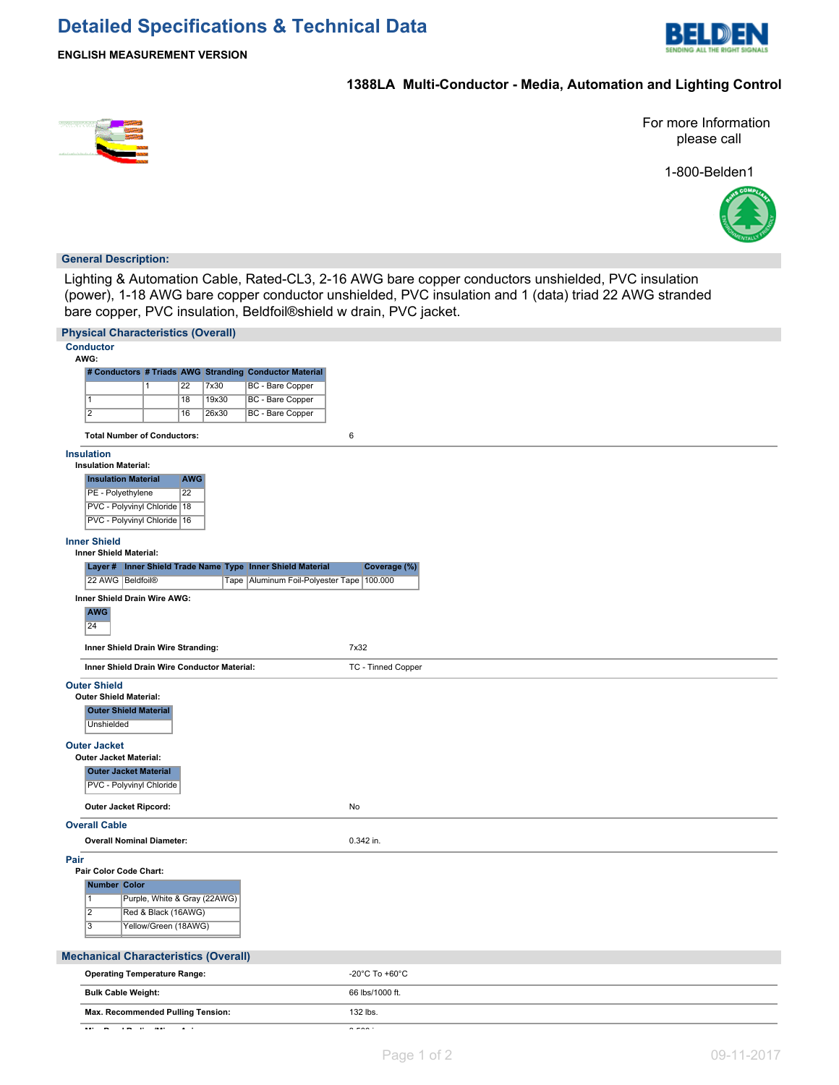

# **1388LA Multi-Conductor - Media, Automation and Lighting Control**



For more Information please call

1-800-Belden1



### **General Description:**

Lighting & Automation Cable, Rated-CL3, 2-16 AWG bare copper conductors unshielded, PVC insulation (power), 1-18 AWG bare copper conductor unshielded, PVC insulation and 1 (data) triad 22 AWG stranded bare copper, PVC insulation, Beldfoil®shield w drain, PVC jacket.

| <b>Physical Characteristics (Overall)</b>                           |                                      |
|---------------------------------------------------------------------|--------------------------------------|
| <b>Conductor</b><br>AWG:                                            |                                      |
| # Conductors # Triads AWG Stranding Conductor Material              |                                      |
| BC - Bare Copper<br>22<br>7x30<br>$\mathbf{1}$                      |                                      |
| BC - Bare Copper<br>$\overline{1}$<br>18<br>19x30                   |                                      |
| $\overline{2}$<br>BC - Bare Copper<br>16<br>26x30                   |                                      |
|                                                                     |                                      |
| <b>Total Number of Conductors:</b>                                  | 6                                    |
| <b>Insulation</b>                                                   |                                      |
| <b>Insulation Material:</b>                                         |                                      |
| <b>Insulation Material</b><br><b>AWG</b>                            |                                      |
| $\overline{22}$<br>PE - Polyethylene                                |                                      |
| PVC - Polyvinyl Chloride   18                                       |                                      |
| PVC - Polyvinyl Chloride   16                                       |                                      |
|                                                                     |                                      |
| <b>Inner Shield</b>                                                 |                                      |
| Inner Shield Material:                                              |                                      |
| Layer # Inner Shield Trade Name Type Inner Shield Material          | Coverage (%)                         |
| 22 AWG   Beldfoil®<br>Tape   Aluminum Foil-Polyester Tape   100.000 |                                      |
| Inner Shield Drain Wire AWG:                                        |                                      |
| <b>AWG</b>                                                          |                                      |
| 24                                                                  |                                      |
|                                                                     | 7x32                                 |
| Inner Shield Drain Wire Stranding:                                  |                                      |
| Inner Shield Drain Wire Conductor Material:                         | TC - Tinned Copper                   |
| <b>Outer Shield</b>                                                 |                                      |
| <b>Outer Shield Material:</b>                                       |                                      |
| <b>Outer Shield Material</b>                                        |                                      |
| <b>Unshielded</b>                                                   |                                      |
|                                                                     |                                      |
| <b>Outer Jacket</b>                                                 |                                      |
| <b>Outer Jacket Material:</b>                                       |                                      |
| <b>Outer Jacket Material</b>                                        |                                      |
| PVC - Polyvinyl Chloride                                            |                                      |
| Outer Jacket Ripcord:                                               | No                                   |
|                                                                     |                                      |
| <b>Overall Cable</b>                                                |                                      |
| <b>Overall Nominal Diameter:</b>                                    | 0.342 in.                            |
| Pair                                                                |                                      |
| Pair Color Code Chart:                                              |                                      |
| Number Color                                                        |                                      |
| Purple, White & Gray (22AWG)<br>$\mathbf{1}$                        |                                      |
| $\overline{2}$<br>Red & Black (16AWG)                               |                                      |
| $\overline{3}$<br>Yellow/Green (18AWG)                              |                                      |
|                                                                     |                                      |
| <b>Mechanical Characteristics (Overall)</b>                         |                                      |
| <b>Operating Temperature Range:</b>                                 | -20 $^{\circ}$ C To +60 $^{\circ}$ C |
|                                                                     |                                      |
| <b>Bulk Cable Weight:</b>                                           | 66 lbs/1000 ft.                      |
| Max. Recommended Pulling Tension:                                   | 132 lbs.                             |
| $\sim$ 100 $\sim$                                                   | $- - - -$                            |
|                                                                     |                                      |